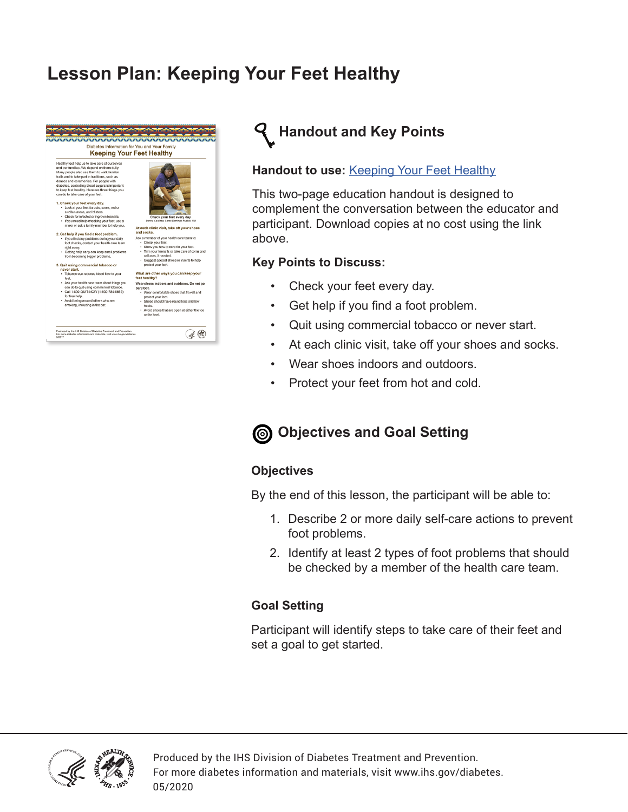## **Lesson Plan: Keeping Your Feet Healthy**



## **Handout and Key Points**

#### **Handout to use: [Keeping Your Feet Healthy](https://www.ihs.gov/diabetes/education-materials-and-resources/index.cfm?module=productDetails&productID=336)**

This two-page education handout is designed to complement the conversation between the educator and participant. Download copies at no cost using the link above.

#### **Key Points to Discuss:**

- Check your feet every day.
- Get help if you find a foot problem.
- Quit using commercial tobacco or never start.
- At each clinic visit, take off your shoes and socks.
- Wear shoes indoors and outdoors.
- Protect your feet from hot and cold.

### **Objectives and Goal Setting**

#### **Objectives**

By the end of this lesson, the participant will be able to:

- 1. Describe 2 or more daily self-care actions to prevent foot problems.
- 2. Identify at least 2 types of foot problems that should be checked by a member of the health care team.

#### **Goal Setting**

Participant will identify steps to take care of their feet and set a goal to get started.